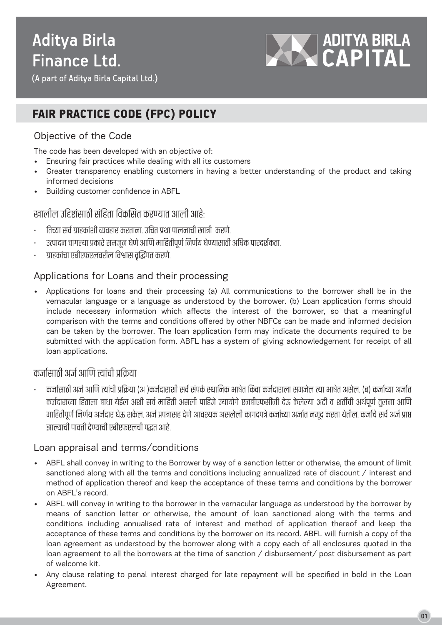# **Aditya Birla Finance Ltd.**



(A part of Aditya Birla Capital Ltd.)

# FAIR PRACTICE CODE (FPC) POLICY

# Objective of the Code

The code has been developed with an objective of:

- Ensuring fair practices while dealing with all its customers
- Greater transparency enabling customers in having a better understanding of the product and taking informed decisions
- Building customer confidence in ABFL

#### खालील उद्दिष्टांसाठी संहिता विकसित करण्यात आली आहे. :

- तिच्या सर्व ग्राहकाशी व्यवहार करताना. उचित प्रथा पालनाची खात्री करण.
- उत्पादन चागल्या प्रकारे समजून घेणे आणि माहितीपूर्ण निर्णय घेण्यासाठी अधिक पारदर्शकता.
- ग्राहकाचा एबाएफएलवराल विश्वास वृद्धिगत करण.

# Applications for Loans and their processing

• Applications for loans and their processing (a) All communications to the borrower shall be in the vernacular language or a language as understood by the borrower. (b) Loan application forms should include necessary information which affects the interest of the borrower, so that a meaningful comparison with the terms and conditions offered by other NBFCs can be made and informed decision can be taken by the borrower. The loan application form may indicate the documents required to be submitted with the application form. ABFL has a system of giving acknowledgement for receipt of all loan applications.

# कर्जासाठी अर्जे आणि त्याची प्रक्रिया

• कर्जासाठी अर्ज आणि त्याची प्रोक्रया (अ )कर्जदाराशी सर्व सपर्क स्थानिक भाषेत किंवा कर्जदाराला समजेल त्या भाषेत असेल. (ब) कर्जाच्या अजीत कर्जदाराच्या हिताला बाधा येईल अशो सर्व माहितो असलो पाहिजे ज्यायोगे एनबीएफसीनो देऊ केलेल्या अटो व शतीची अर्थपूर्ण तुलना आणि माहितपूर्ण निर्णय अर्जदार घेऊ शकेल. अर्ज प्रपत्रासह देणे आवश्यक असलेला कागदपत्रे कर्जाच्या अर्जात नमूद करता यताल. कर्जाचे सर्व अर्ज प्राप्त l झाल्याची पावती देण्याची एबीएफएलची पद्धत आहे.

### Loan appraisal and terms/conditions

- ABFL shall convey in writing to the Borrower by way of a sanction letter or otherwise, the amount of limit sanctioned along with all the terms and conditions including annualized rate of discount / interest and method of application thereof and keep the acceptance of these terms and conditions by the borrower on ABFL's record.
- ABFL will convey in writing to the borrower in the vernacular language as understood by the borrower by means of sanction letter or otherwise, the amount of loan sanctioned along with the terms and conditions including annualised rate of interest and method of application thereof and keep the acceptance of these terms and conditions by the borrower on its record. ABFL will furnish a copy of the loan agreement as understood by the borrower along with a copy each of all enclosures quoted in the loan agreement to all the borrowers at the time of sanction / disbursement/ post disbursement as part of welcome kit.
- Any clause relating to penal interest charged for late repayment will be specified in bold in the Loan Agreement.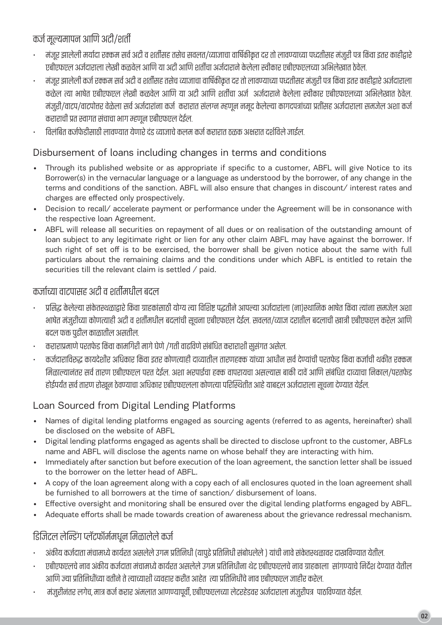# कर्ज मल्यमापन आणि अटी/शर्ती

- मजूर झालेला मयादा रक्कम सर्व अटा व शतीसह तसेच सवलत/व्याजाचा वाषिकाकृत दर तो लावण्याच्या पध्दतीसह मजुरा पत्र किवा इतर काहोद्वार ŗ एबोएफएल अर्जदाराला लेखां कळवेल आणि या अटी आणि शतीचा अर्जदाराने केलेला स्वीकार एबोएफएलच्या अभिलेखात ठेवेल.
- मजूर झालेला कर्ज रक्कम सर्व अटा व शतीसह तसेच व्याजाचा वाषिकाकृत दर तो लावण्याच्या पध्दतीसह मजुरा पत्र किवा इतर काहाद्वार अजेदाराला कळेल त्या भाषेत एबाएफएल लेखां कळवेल आणि या अटो आणि शतीचा अर्ज अजेदाराने केलेला स्वीकार एबाएफएलच्या अभिलेखात ठेवल. मजुरो/वाटप/वाटपतिर वेळेला सर्व अर्जदाराना कर्ज करारात सलग्न म्हणून नमूद केलेल्या कागदपत्राच्या प्रतासह अजेदाराला समर्जल अशा कर्ज कराराचा प्रत स्वागत सचाचा भाग म्हणून एबाएफएल देइल.
- विलंबित कर्जफेडोसाठी लावण्यात येणारे दड व्याजाचे कलम कर्ज करारात ठळक अक्षरात दर्शीवले जाईल.

# Disbursement of loans including changes in terms and conditions

- Through its published website or as appropriate if specific to a customer, ABFL will give Notice to its Borrower(s) in the vernacular language or a language as understood by the borrower, of any change in the terms and conditions of the sanction. ABFL will also ensure that changes in discount/ interest rates and charges are effected only prospectively.
- Decision to recall/ accelerate payment or performance under the Agreement will be in consonance with the respective loan Agreement.
- ABFL will release all securities on repayment of all dues or on realisation of the outstanding amount of loan subject to any legitimate right or lien for any other claim ABFL may have against the borrower. If such right of set off is to be exercised, the borrower shall be given notice about the same with full particulars about the remaining claims and the conditions under which ABFL is entitled to retain the securities till the relevant claim is settled / paid.

# कर्जाच्या वाटपासह अटी व शर्तीमधील बदल

- प्रसिद्ध केलेल्या सकतस्थळाद्वारे किंवा ग्राहकासाठी योग्य त्या विशिष्ट पद्धतीने आपल्या अजेदाराला (ना)स्थानिक भाषेत किंवा त्याना समजेल अशा भाषेत मजुरोच्या कोणत्याही अटो व शतीमधील बदलाची सूचना एबीएफएल देईल. सवलत/व्याज दरातील बदलाची खात्री एबीएफएल करल आणि बदल फक्त पूढील काळातील असतील.
- कराराप्रमाणे परतर्फड किंवा कामगिरी मार्ग घेणे /गती वाढीवणे संबंधित कराराशी सुसंगत असेल.
- कर्जदाराविरुद्ध कायदेशीर अधिकार किंवा इतर कोणत्याही दाव्यातील तारणहक्क याच्या आधीन सर्वे देण्याची परतर्फड किंवा कर्जाची थकीत रक्कम मिळाल्यानतर सर्व तारण एबोएफएल परत देइल. अशा भरपाइंचा हक्क वापरायचा असल्यास बाको दावे आणि सर्बाधत दाव्याचा निकाल/परतर्फड होईपर्यंत सर्व तारण रोखून ठेवण्याचा अधिकार एबोएफएलला कोणत्या पोरोस्थतीत आहे याबद्दल अजेदाराला सूचना देण्यात येइल

# Loan Sourced from Digital Lending Platforms

- Names of digital lending platforms engaged as sourcing agents (referred to as agents, hereinafter) shall be disclosed on the website of ABFL
- Digital lending platforms engaged as agents shall be directed to disclose upfront to the customer, ABFLs name and ABFL will disclose the agents name on whose behalf they are interacting with him.
- Immediately after sanction but before execution of the loan agreement, the sanction letter shall be issued to the borrower on the letter head of ABFL.
- A copy of the loan agreement along with a copy each of all enclosures quoted in the loan agreement shall be furnished to all borrowers at the time of sanction/ disbursement of loans.
- Effective oversight and monitoring shall be ensured over the digital lending platforms engaged by ABFL.
- Adequate efforts shall be made towards creation of awareness about the grievance redressal mechanism.

# डिजिटल लेन्डिग प्लटफामेमधून मिळालेले कर्ज

- अकाय कर्जदाता मचामध्ये कार्यरत असलेले उगम प्रांतानधी (यापुढे प्रांतानधी संबोधलेले ) याची नावे सकेतस्थळावर दाखोवण्यात येतील.
- एबाएफएलचे नाव अकाय कर्जदाता मचामध्ये कार्यरत असलेले उगम प्रतिनिधीना थेट एबाएफएलचे नाव ग्राहकाला सागण्याचे निर्देश देण्यात येतील İ İ İ आणि ज्या प्रतिनिर्धाच्या वर्ताने ते त्याच्याशी व्यवहार करीत आहेत) त्या प्रतिनिर्धाचे नाव एबीएफएल जाहीर करेल.
- मजुरानतर लगेच, मात्र कर्ज करार अमलात आणण्यापूर्वा, एबाएफएलच्या लेटरहॅडवर अर्जदाराला मजुरापत्र पाठविण्यात येईल.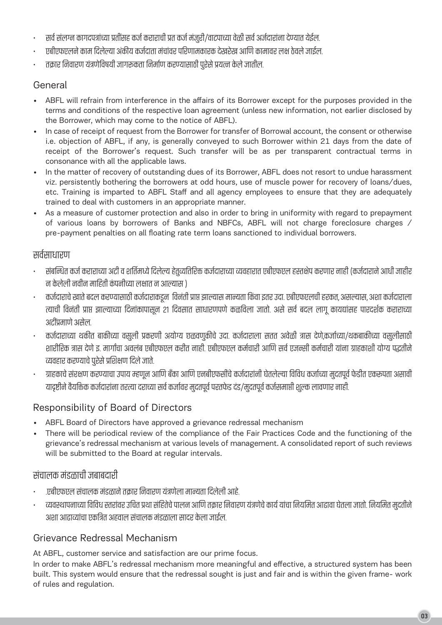- सर्वे सलग्न कागदपत्राच्या प्रतसिह कर्ज कराराची प्रत कर्ज मजुरी/वाटपाच्या वेळी सर्वे अर्जेदाराना देण्यात येईल.
- एबाएफएलने काम दिलेल्या अकाय कर्जदाता मचावर पोरणामकारक देखरेख आणि कामावर लक्ष ठेवले जाईल.
- त्र तक्रार निवारण यत्रणीवषयो जागरूकता निर्माण करण्यासाठी पुरेसे प्रयत्न केले जातील.

# General

- ABFL will refrain from interference in the affairs of its Borrower except for the purposes provided in the terms and conditions of the respective loan agreement (unless new information, not earlier disclosed by the Borrower, which may come to the notice of ABFL).
- In case of receipt of request from the Borrower for transfer of Borrowal account, the consent or otherwise i.e. objection of ABFL, if any, is generally conveyed to such Borrower within 21 days from the date of receipt of the Borrower's request. Such transfer will be as per transparent contractual terms in consonance with all the applicable laws.
- In the matter of recovery of outstanding dues of its Borrower, ABFL does not resort to undue harassment viz. persistently bothering the borrowers at odd hours, use of muscle power for recovery of loans/dues, etc. Training is imparted to ABFL Staff and all agency employees to ensure that they are adequately trained to deal with customers in an appropriate manner.
- As a measure of customer protection and also in order to bring in uniformity with regard to prepayment of various loans by borrowers of Banks and NBFCs, ABFL will not charge foreclosure charges / pre-payment penalties on all floating rate term loans sanctioned to individual borrowers.

# सर्वसाधारण

- सबोन्धत कर्ज कराराच्या अटो व शांतमध्ये दिलेल्य हेतुव्यातोरक्त कर्जदाराच्या व्यवहारात एबाएफएल हस्तक्षप करणार नाहो (कर्जदाराने आधी जाहोर न केलेला नवान माहितो कपनच्यिा लक्षात न आल्यास )
- कर्जदाराचे खाते बदल करण्यासाठी कर्जदाराकडून विनती प्राप्त झाल्यास मान्यता किवा इतर उदा. एबीएफएलची हरकत, असल्यास, अशा कर्जदाराला त्याची विनती प्राप्त झाल्याच्या दिनाकापासून २१ दिवसात साधारणपणे कळीवला जातो. असे सर्व बदल लागू कायद्यासह पारदशक कराराच्या अटोप्रमाणे असेल.
- कर्जदाराच्या थकांत बाकांच्या वसुला प्रकरणा अयाग्य छळवणुकांचे उदा. कर्जदाराला सतत अवळा त्रास दण,कर्जाच्या/थकबाकांच्या वसुलांसाठा शारीरिक त्रास देणे इ. मार्गाचा अवलब एबीएफएल करीत नाही. एबीएफएल कर्मचारी आणि सर्व एजन्सी कर्मचारी याना ग्राहकाशी योग्य पद्धतीन Ī व्यवहार करण्याचे पुरेसे प्रांशक्षण दिले जाते. İ
- ग्राहकार्च सरक्षण करण्याचा उपाय म्हणून आणि बका आणि एनबीएफसचि कर्जदारानां घतलल्या विविध कर्जाच्या मुदतपूर्व फंडोत एकरूपता असावी यादृष्टीने वैयक्तिक कर्जदाराना तरत्या दराच्या सर्व कर्जावर मुदतपूर्व परतर्फड दड/मुदतपूर्व कर्जसमाप्ती शुल्क लावणार नाही.

# Responsibility of Board of Directors

- ABFL Board of Directors have approved a grievance redressal mechanism
- There will be periodical review of the compliance of the Fair Practices Code and the functioning of the grievance's redressal mechanism at various levels of management. A consolidated report of such reviews will be submitted to the Board at regular intervals.

# सचालक मडळाचा जबाबदार<mark>ा</mark>

- .एबाएफएल सचालक मडळाने तक्रार निवारण यत्रणेला मान्यता दिलेली आहे.
- व्यवस्थापनाच्या विविध स्तरावर उचित प्रथा सहितेचे पालन आणि तक्रार निवारण यत्रणेचे कार्य याचा नियमित आढावा घतला जातो. नियमित मुदतोन İ İ Ī अशा आढाव्याचा एकांत्रत अहवाल सचालक मडळाला सादर केला जाईल.

# Grievance Redressal Mechanism

At ABFL, customer service and satisfaction are our prime focus.

In order to make ABFL's redressal mechanism more meaningful and effective, a structured system has been built. This system would ensure that the redressal sought is just and fair and is within the given frame- work of rules and regulation.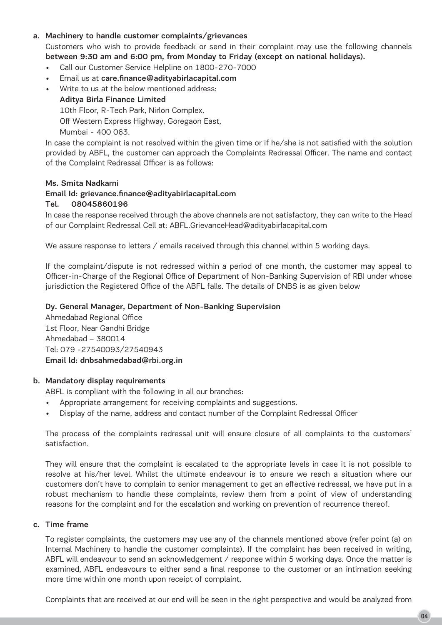#### a. Machinery to handle customer complaints/grievances

Customers who wish to provide feedback or send in their complaint may use the following channels between 9:30 am and 6:00 pm, from Monday to Friday (except on national holidays).

- Call our Customer Service Helpline on 1800-270-7000
- Email us at care.finance@adityabirlacapital.com
- Write to us at the below mentioned address: Aditya Birla Finance Limited 10th Floor, R-Tech Park, Nirlon Complex, Off Western Express Highway, Goregaon East,

Mumbai - 400 063.

In case the complaint is not resolved within the given time or if he/she is not satisfied with the solution provided by ABFL, the customer can approach the Complaints Redressal Officer. The name and contact of the Complaint Redressal Officer is as follows:

#### Ms. Smita Nadkarni

#### Email Id: grievance.finance@adityabirlacapital.com

#### Tel. 08045860196

In case the response received through the above channels are not satisfactory, they can write to the Head of our Complaint Redressal Cell at: ABFL.GrievanceHead@adityabirlacapital.com

We assure response to letters / emails received through this channel within 5 working days.

If the complaint/dispute is not redressed within a period of one month, the customer may appeal to Officer-in-Charge of the Regional Office of Department of Non-Banking Supervision of RBI under whose jurisdiction the Registered Office of the ABFL falls. The details of DNBS is as given below

#### Dy. General Manager, Department of Non-Banking Supervision

Ahmedabad Regional Office 1st Floor, Near Gandhi Bridge Ahmedabad – 380014 Tel: 079 -27540093/27540943 Email ld: dnbsahmedabad@rbi.org.in

#### b. Mandatory display requirements

ABFL is compliant with the following in all our branches:

- Appropriate arrangement for receiving complaints and suggestions.
- Display of the name, address and contact number of the Complaint Redressal Officer

The process of the complaints redressal unit will ensure closure of all complaints to the customers' satisfaction.

They will ensure that the complaint is escalated to the appropriate levels in case it is not possible to resolve at his/her level. Whilst the ultimate endeavour is to ensure we reach a situation where our customers don't have to complain to senior management to get an effective redressal, we have put in a robust mechanism to handle these complaints, review them from a point of view of understanding reasons for the complaint and for the escalation and working on prevention of recurrence thereof.

#### c. Time frame

To register complaints, the customers may use any of the channels mentioned above (refer point (a) on Internal Machinery to handle the customer complaints). If the complaint has been received in writing, ABFL will endeavour to send an acknowledgement / response within 5 working days. Once the matter is examined, ABFL endeavours to either send a final response to the customer or an intimation seeking more time within one month upon receipt of complaint.

Complaints that are received at our end will be seen in the right perspective and would be analyzed from

04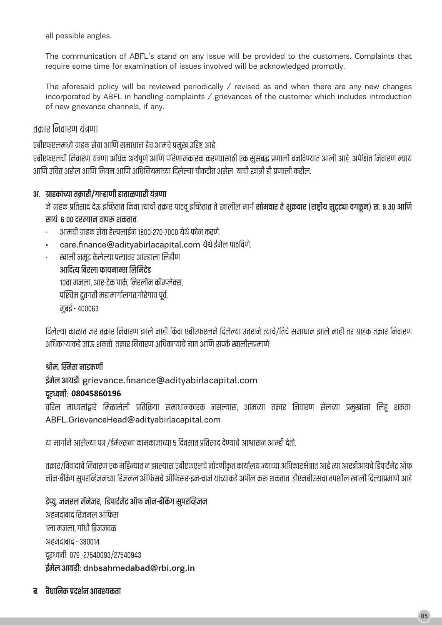all possible angles.

The communication of ABFL's stand on any issue will be provided to the customers. Complaints that require some time for examination of issues involved will be acknowledged promptly.

The aforesaid policy will be reviewed periodically / revised as and when there are any new changes incorporated by ABFL in handling complaints / grievances of the customer which includes introduction of new grievance channels, if any.

### तकार निवारण यंत्रणा

एबीएफएलमध्ये ग्राहक सेवा आणि समाधान हेच आमचे प्रमुख उद्दिष्ट आहे.

एबीएफएलची निवारण यंत्रणा अधिक अर्थपूर्ण आणि परिणामकारक करण्यासाठी एक सुसंबद्ध प्रणाली बनविण्यात आली आहे. अपेक्षित निवारण न्याय आणि उचित असेल आणि नियम आणि अधिनियमांच्या दिलेल्या चौकटीत असेल याची खात्री ही प्रणाली करील.

### अ. ग्राहकांच्या तक्रारी/गाऱ्हाणी हाताळणारी यंत्रणा

जे ग्राहक प्रतिसाद देऊ इच्छितात किंवा त्यांची तक्रार पाठवू इच्छितात ते खालील मार्ग **सोमवार ते शुक्रवार (राष्ट्रीय सुट्ट्या वगळून) स. ९:३० आणि** सायं. ६:०० दरम्यान वापरू शकतात.

- $\ddot{\phantom{a}}$ आमची ग्राहक सेवा हेल्पलाईन १८००-२७०-७००० येथे फोन करणे.
- care.finance@adityabirlacapital.com येथे ईमेल पाठविणे.

खाली नमद केलेल्या पत्त्यावर आम्हाला लिहीण आदित्य बिरला फायनान्स लिमिटेड १०वा मजला. आर-टेक पार्क. निरलॉन कॉम्प्लेक्स. पश्चिम द्रतगती महामार्गालगत,गोरेगाव पूर्व, मुंबई - 400063

दिलेल्या काळात जर तक्रार निवारण झाले नाही किंवा एबीएफएलने दिलेल्या उत्तराने त्याचे/तिचे समाधान झाले नाही तर ग्राहक तक्रार निवारण अधिकाऱ्याकडे जाऊ शकतो. तकार निवारण अधिकाऱ्याचे नाव आणि संपर्क खालीलप्रमाणे:

### श्रीमः स्मिता नाडकर्णी

### ईमेल आयडी: grievance.finance@adityabirlacapital.com

### **08045860196**

वरिल माध्यमांद्वारे मिळालेली प्रतिक्रिया समाधानकारक नसल्यास, आमच्या तक्रार निवारण सेलच्या प्रमुखांना लिहू शकता ABFL.GrievanceHead@adityabirlacapital.com

या मार्गाने आलेल्या पत्र /ईमेल्सना कामकाजाच्या ५ दिवसात प्रतिसाद देण्याचे आश्वासन आम्ही देतो.

तक्रार/विवादाचे निवारण एक महिन्यात न झाल्यास एबीएफएलचे नोंदणीकृत कार्यालय ज्यांच्या अधिकारक्षेत्रात आहे त्या आरबीआयचे डिपार्टमेंट ऑफ नॉन-बँकिंग सुपरव्हिजनच्या रिजनल ऑफिसचे ऑफिसर-इन-चार्ज यांच्याकडे अपील करू शकतात. डीएनबीएसचा तपशील खाली दिल्याप्रमाणे आहे

डेप्यु. जनरल मॅनेजर, डिपार्टमेंट ऑफ नॉन-बॅंकिंग सुपरव्हिजन अहमदाबाद रिजनल ऑफिस १ला मजला. गांधी बिजजवळ अहमदाबाद - ३८००१४ दूरध्वनीः ०७९ -२७५४००९३/२७५४०९४३ ईमेल आयडी: dnbsahmedabad@rbi.org.in

### ब. वैधानिक प्रदर्शन आवश्यकता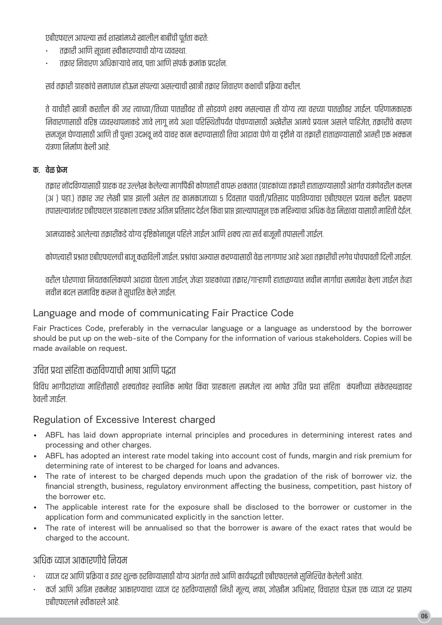एबाएफएल आपल्या सर्व शाखामध्ये खालाल बाबांचा पूर्तता करत :

- तक्रारा आणि सूचना स्वीकारण्याची योग्य व्यवस्था.
- तक्रार निवारण अधिकाऱ्याचे नाव, पत्ता आणि सपर्क क्रमाक प्रदर्शन.

सर्व तक्रारो ग्राहकाचे समाधान होऊन सपल्या असल्याची खात्री तक्रार निवारण कक्षाची प्रोक्रया करोल.

ते याचीही खात्री करतील को जर त्याच्या/तिच्या पातळीवर तो सीडवर्ण शक्य नसल्यास तो योग्य त्या वरच्या पातळीवर जाईल. परिणामकारक निवारणासाठी वरिष्ठ व्यवस्थापनाकडे जावे लागू नये अशा परिस्थितोपयेत पोचण्यासाठी अखेरीस आमर्च प्रयत्न असले पाहिजेत, तक्रारचि कारण İ l समजून घण्यासाठी आणि तो पुन्हा उदभवू नये यावर काम करण्यासाठी तिचा आढावा घेणे या दृष्टीने या तक्रारी हाताळण्यासाठी आम्ही एक भक्कम यत्रणा निर्माण केलो आहे.

### **.**

तक्रार नोदोवण्यासाठी ग्राहक वर उल्लेख केलेल्या मार्गांपैको कोणताहो वापरू शकतात (ग्राहकाच्या तक्रारो हाताळण्यासाठी अतर्गत यत्रणवरील कलम (अ ) पहा.) तक्रार जर लेखा प्राप्त झाला असेल तर कामकाजाच्या ५ दिवसात पावतां/प्रतिसाद पाठीवण्याचा एबीएफएल प्रयत्न करोल. प्रकरण तपासल्यानतर एबाएफएल ग्राहकाला एकतर आतम प्रातसाद दइल किंवा प्राप्त झाल्यापासून एक माहन्याचा आधक वळ ामळावा यासाठा मााहता दइल.

आमच्याकडे आलेल्या तक्रारोकडे योग्य दृष्टिकोनातून पहिले जाईल आणि शक्य त्या सर्व बाजूनो तपासलो जाईल.

कोणत्याही प्रश्नात एबीएफएलची बाजू कळीवली जाईल. प्रश्नाचा अभ्यास करण्यासाठी वेळ लागणार आहे अशा तक्रारीची लगेच पोचपावती दिली जाईल.

वराल धारणाचा नियतकालिकपणे आढावा घेतला जाईल, जेव्हा ग्राहकाच्या तक्रार/गाऱ्हाणा हाताळण्यात नवीन मार्गाचा समावंश केला जाईल तेव्हा नवान बदल समाविष्ट करून ते सुधारित केले जाइल.

### Language and mode of communicating Fair Practice Code

Fair Practices Code, preferably in the vernacular language or a language as understood by the borrower should be put up on the web-site of the Company for the information of various stakeholders. Copies will be made available on request.

# उचित प्रथा सहिता कळविण्याची भाषा आणि पद्धत

विविध भागीदाराच्या माहितीसाठी शक्यतीवर स्थानिक भाषेत किंवा ग्राहकाला समजेल त्या भाषेत उचित प्रथा सहिता कपनच्यिा सकेतस्थळावर ठेवली जाईल.

# Regulation of Excessive Interest charged

- ABFL has laid down appropriate internal principles and procedures in determining interest rates and processing and other charges.
- ABFL has adopted an interest rate model taking into account cost of funds, margin and risk premium for determining rate of interest to be charged for loans and advances.
- The rate of interest to be charged depends much upon the gradation of the risk of borrower viz. the financial strength, business, regulatory environment affecting the business, competition, past history of the borrower etc.
- The applicable interest rate for the exposure shall be disclosed to the borrower or customer in the application form and communicated explicitly in the sanction letter.
- The rate of interest will be annualised so that the borrower is aware of the exact rates that would be charged to the account.

#### अधिक व्याज आकारणांचे नियम

- व्याज दर आणि प्रोक्रया व इतर शुल्क ठरोवण्यासाठी योग्य अतर्गत तत्त्वे आणि कार्यपद्धती एबोएफएलने सुनिश्चित कैलेली आहेत.
- कर्ज आणि अग्रिम रकमेवर आकारण्याचा व्याज दर ठरोवण्यासाठी निर्धा मूल्य, नफा, जोखीम अधिभार, विचारात घऊन एक व्याज दर प्रारूप एबाएफएलने स्वीकारले आहे.